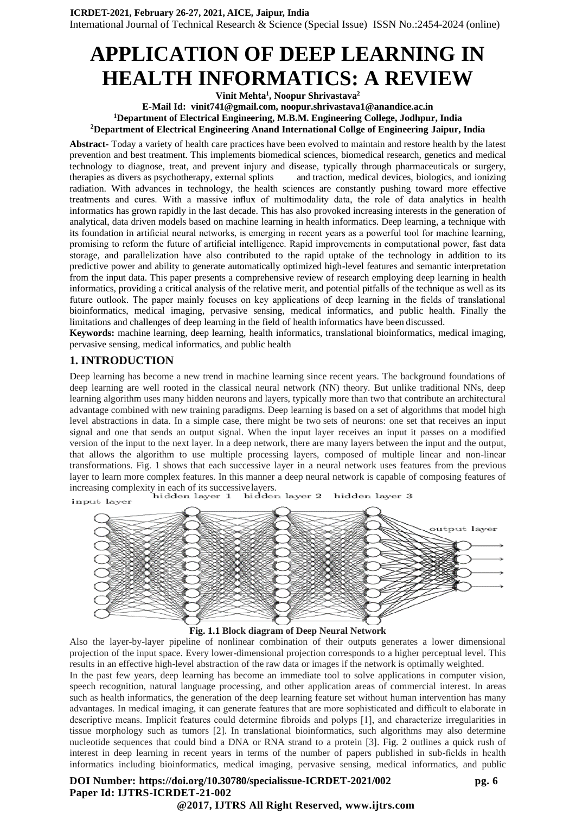# **APPLICATION OF DEEP LEARNING IN HEALTH INFORMATICS: A REVIEW**

**Vinit Mehta<sup>1</sup> , Noopur Shrivastava<sup>2</sup> E-Mail Id: [vinit741@gmail.com,](mailto:vinit741@gmail.com) noopur.shrivastava1@anandice.ac.in <sup>1</sup>Department of Electrical Engineering, M.B.M. Engineering College, Jodhpur, India <sup>2</sup>Department of Electrical Engineering Anand International Collge of Engineering Jaipur, India**

**Abstract-** Today a variety o[f health care p](https://en.wikipedia.org/wiki/Health_care)ractices have been evolved to maintain and restore [health b](https://en.wikipedia.org/wiki/Health)y the latest [prevention a](https://en.wikipedia.org/wiki/Prevention_(medical))nd best [treatment.](https://en.wikipedia.org/wiki/Therapy) This implements [biomedical](https://en.wikipedia.org/wiki/Biomedical_sciences) [sciences,](https://en.wikipedia.org/wiki/Biomedical_sciences) [biomedical research,](https://en.wikipedia.org/wiki/Biomedical_research) [genetics](https://en.wikipedia.org/wiki/Medical_genetics) and [medical](https://en.wikipedia.org/wiki/Medical_technology) [technology t](https://en.wikipedia.org/wiki/Medical_technology)o [diagnose,](https://en.wikipedia.org/wiki/Diagnosis_(medical)) treat, and prevent injury and disease, typically through [pharmaceuticals o](https://en.wikipedia.org/wiki/Pharmaceutical)r [surgery,](https://en.wikipedia.org/wiki/Surgery) therapies as divers as [psychotherapy,](https://en.wikipedia.org/wiki/Psychotherapy) [external](https://en.wikipedia.org/wiki/Splint_(medicine)) splints and [traction,](https://en.wikipedia.org/wiki/Splint_(medicine)) [medical devices,](https://en.wikipedia.org/wiki/Medical_device) [biologics,](https://en.wikipedia.org/wiki/Biologic_medical_product) and [ionizing](https://en.wikipedia.org/wiki/Radiation_(medicine))  [radiation.](https://en.wikipedia.org/wiki/Radiation_(medicine)) With advances in technology, the health sciences are constantly pushing toward more effective treatments and cures. With a massive influx of multimodality data, the role of data analytics in health informatics has grown rapidly in the last decade. This has also provoked increasing interests in the generation of analytical, data driven models based on machine learning in health informatics. Deep learning, a technique with its foundation in artificial neural networks, is emerging in recent years as a powerful tool for machine learning, promising to reform the future of artificial intelligence. Rapid improvements in computational power, fast data storage, and parallelization have also contributed to the rapid uptake of the technology in addition to its predictive power and ability to generate automatically optimized high-level features and semantic interpretation from the input data. This paper presents a comprehensive review of research employing deep learning in health informatics, providing a critical analysis of the relative merit, and potential pitfalls of the technique as well as its future outlook. The paper mainly focuses on key applications of deep learning in the fields of translational bioinformatics, medical imaging, pervasive sensing, medical informatics, and public health. Finally the limitations and challenges of deep learning in the field of health informatics have been discussed.

**Keywords:** machine learning, deep learning, health informatics, translational bioinformatics, medical imaging, pervasive sensing, medical informatics, and public health

### **1. INTRODUCTION**

Deep learning has become a new trend in machine learning since recent years. The background foundations of deep learning are well rooted in the classical neural network (NN) theory. But unlike traditional NNs, deep learning algorithm uses many hidden neurons and layers, typically more than two that contribute an architectural advantage combined with new training paradigms. Deep learning is based on a set of [algorithms t](https://en.wikipedia.org/wiki/Algorithm)hat model high level abstractions in data. In a simple case, there might be two sets of [neurons: o](https://en.wikipedia.org/wiki/Artificial_neuron)ne set that receives an input signal and one that sends an output signal. When the input layer receives an input it passes on a modified version of the input to the next layer. In a deep network, there are many layers between the input and the output, that allows the algorithm to use multiple processing layers, composed of multiple linear and non[-linear](https://en.wikipedia.org/wiki/Linear_transformation) [transformations.](https://en.wikipedia.org/wiki/Linear_transformation) Fig. 1 shows that each successive layer in a neural network uses features from the previous layer to learn more complex features. In this manner a deep neural network is capable of composing features of

increasing complexity in each of its successivelayers. hidden layer 3 input layer





Also the layer-by-layer pipeline of nonlinear combination of their outputs generates a lower dimensional projection of the input space. Every lower-dimensional projection corresponds to a higher perceptual level. This results in an effective high-level abstraction of the raw data or images if the network is optimally weighted.

In the past few years, deep learning has become an immediate tool to solve applications in computer vision, speech recognition, natural language processing, and other application areas of commercial interest. In areas such as health informatics, the generation of the deep learning feature set without human intervention has many advantages. In medical imaging, it can generate features that are more sophisticated and difficult to elaborate in descriptive means. Implicit features could determine fibroids and polyps [1], and characterize irregularities in tissue morphology such as tumors [2]. In translational bioinformatics, such algorithms may also determine nucleotide sequences that could bind a DNA or RNA strand to a protein [3]. Fig. 2 outlines a quick rush of interest in deep learning in recent years in terms of the number of papers published in sub-fields in health informatics including bioinformatics, medical imaging, pervasive sensing, medical informatics, and public

**DOI Number: https://doi.org/10.30780/specialissue-ICRDET-2021/002 pg. 6 Paper Id: IJTRS-ICRDET-21-002**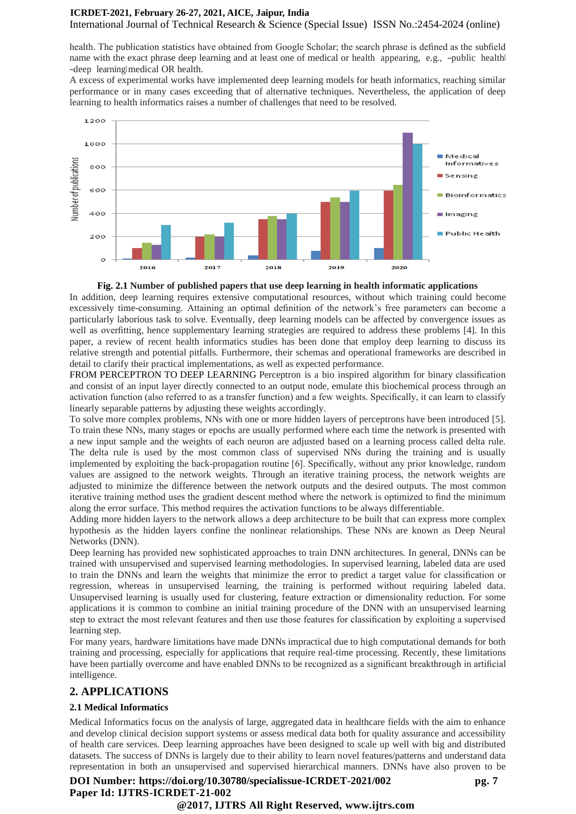International Journal of Technical Research & Science (Special Issue) ISSN No.:2454-2024 (online)

health. The publication statistics have obtained from Google Scholar; the search phrase is defined as the subfield name with the exact phrase deep learning and at least one of medical or health appearing, e.g., -public health ―deep learning‖medical OR health.

A excess of experimental works have implemented deep learning models for heath informatics, reaching similar performance or in many cases exceeding that of alternative techniques. Nevertheless, the application of deep learning to health informatics raises a number of challenges that need to be resolved.



#### **Fig. 2.1 Number of published papers that use deep learning in health informatic applications**

In addition, deep learning requires extensive computational resources, without which training could become excessively time-consuming. Attaining an optimal definition of the network's free parameters can become a particularly laborious task to solve. Eventually, deep learning models can be affected by convergence issues as well as overfitting, hence supplementary learning strategies are required to address these problems [4]. In this paper, a review of recent health informatics studies has been done that employ deep learning to discuss its relative strength and potential pitfalls. Furthermore, their schemas and operational frameworks are described in detail to clarify their practical implementations, as well as expected performance.

FROM PERCEPTRON TO DEEP LEARNING Perceptron is a bio inspired algorithm for binary classification and consist of an input layer directly connected to an output node, emulate this biochemical process through an activation function (also referred to as a transfer function) and a few weights. Specifically, it can learn to classify linearly separable patterns by adjusting these weights accordingly.

To solve more complex problems, NNs with one or more hidden layers of perceptrons have been introduced [5]. To train these NNs, many stages or epochs are usually performed where each time the network is presented with a new input sample and the weights of each neuron are adjusted based on a learning process called delta rule. The delta rule is used by the most common class of supervised NNs during the training and is usually implemented by exploiting the back-propagation routine [6]. Specifically, without any prior knowledge, random values are assigned to the network weights. Through an iterative training process, the network weights are adjusted to minimize the difference between the network outputs and the desired outputs. The most common iterative training method uses the gradient descent method where the network is optimized to find the minimum along the error surface. This method requires the activation functions to be always differentiable.

Adding more hidden layers to the network allows a deep architecture to be built that can express more complex hypothesis as the hidden layers confine the nonlinear relationships. These NNs are known as Deep Neural Networks (DNN).

Deep learning has provided new sophisticated approaches to train DNN architectures. In general, DNNs can be trained with unsupervised and supervised learning methodologies. In supervised learning, labeled data are used to train the DNNs and learn the weights that minimize the error to predict a target value for classification or regression, whereas in unsupervised learning, the training is performed without requiring labeled data. Unsupervised learning is usually used for clustering, feature extraction or dimensionality reduction. For some applications it is common to combine an initial training procedure of the DNN with an unsupervised learning step to extract the most relevant features and then use those features for classification by exploiting a supervised learning step.

For many years, hardware limitations have made DNNs impractical due to high computational demands for both training and processing, especially for applications that require real-time processing. Recently, these limitations have been partially overcome and have enabled DNNs to be recognized as a significant breakthrough in artificial intelligence.

### **2. APPLICATIONS**

#### **2.1 Medical Informatics**

Medical Informatics focus on the analysis of large, aggregated data in healthcare fields with the aim to enhance and develop clinical decision support systems or assess medical data both for quality assurance and accessibility of health care services. Deep learning approaches have been designed to scale up well with big and distributed datasets. The success of DNNs is largely due to their ability to learn novel features/patterns and understand data representation in both an unsupervised and supervised hierarchical manners. DNNs have also proven to be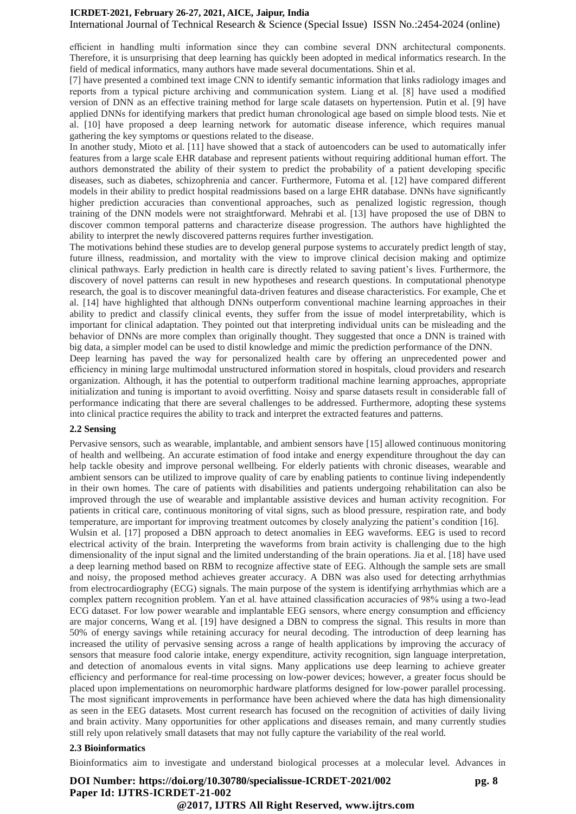International Journal of Technical Research & Science (Special Issue) ISSN No.:2454-2024 (online)

efficient in handling multi information since they can combine several DNN architectural components. Therefore, it is unsurprising that deep learning has quickly been adopted in medical informatics research. In the field of medical informatics, many authors have made several documentations. Shin et al.

[7] have presented a combined text image CNN to identify semantic information that links radiology images and reports from a typical picture archiving and communication system. Liang et al. [8] have used a modified version of DNN as an effective training method for large scale datasets on hypertension. Putin et al. [9] have applied DNNs for identifying markers that predict human chronological age based on simple blood tests. Nie et al. [10] have proposed a deep learning network for automatic disease inference, which requires manual gathering the key symptoms or questions related to the disease.

In another study, Mioto et al. [11] have showed that a stack of autoencoders can be used to automatically infer features from a large scale EHR database and represent patients without requiring additional human effort. The authors demonstrated the ability of their system to predict the probability of a patient developing specific diseases, such as diabetes, schizophrenia and cancer. Furthermore, Futoma et al. [12] have compared different models in their ability to predict hospital readmissions based on a large EHR database. DNNs have significantly higher prediction accuracies than conventional approaches, such as penalized logistic regression, though training of the DNN models were not straightforward. Mehrabi et al. [13] have proposed the use of DBN to discover common temporal patterns and characterize disease progression. The authors have highlighted the ability to interpret the newly discovered patterns requires further investigation.

The motivations behind these studies are to develop general purpose systems to accurately predict length of stay, future illness, readmission, and mortality with the view to improve clinical decision making and optimize clinical pathways. Early prediction in health care is directly related to saving patient's lives. Furthermore, the discovery of novel patterns can result in new hypotheses and research questions. In computational phenotype research, the goal is to discover meaningful data-driven features and disease characteristics. For example, Che et al. [14] have highlighted that although DNNs outperform conventional machine learning approaches in their ability to predict and classify clinical events, they suffer from the issue of model interpretability, which is important for clinical adaptation. They pointed out that interpreting individual units can be misleading and the behavior of DNNs are more complex than originally thought. They suggested that once a DNN is trained with big data, a simpler model can be used to distil knowledge and mimic the prediction performance of the DNN.

Deep learning has paved the way for personalized health care by offering an unprecedented power and efficiency in mining large multimodal unstructured information stored in hospitals, cloud providers and research organization. Although, it has the potential to outperform traditional machine learning approaches, appropriate initialization and tuning is important to avoid overfitting. Noisy and sparse datasets result in considerable fall of performance indicating that there are several challenges to be addressed. Furthermore, adopting these systems into clinical practice requires the ability to track and interpret the extracted features and patterns.

#### **2.2 Sensing**

Pervasive sensors, such as wearable, implantable, and ambient sensors have [15] allowed continuous monitoring of health and wellbeing. An accurate estimation of food intake and energy expenditure throughout the day can help tackle obesity and improve personal wellbeing. For elderly patients with chronic diseases, wearable and ambient sensors can be utilized to improve quality of care by enabling patients to continue living independently in their own homes. The care of patients with disabilities and patients undergoing rehabilitation can also be improved through the use of wearable and implantable assistive devices and human activity recognition. For patients in critical care, continuous monitoring of vital signs, such as blood pressure, respiration rate, and body temperature, are important for improving treatment outcomes by closely analyzing the patient's condition [16]. Wulsin et al. [17] proposed a DBN approach to detect anomalies in EEG waveforms. EEG is used to record electrical activity of the brain. Interpreting the waveforms from brain activity is challenging due to the high dimensionality of the input signal and the limited understanding of the brain operations. Jia et al. [18] have used a deep learning method based on RBM to recognize affective state of EEG. Although the sample sets are small and noisy, the proposed method achieves greater accuracy. A DBN was also used for detecting arrhythmias from electrocardiography (ECG) signals. The main purpose of the system is identifying arrhythmias which are a complex pattern recognition problem. Yan et al. have attained classification accuracies of 98% using a two-lead ECG dataset. For low power wearable and implantable EEG sensors, where energy consumption and efficiency are major concerns, Wang et al. [19] have designed a DBN to compress the signal. This results in more than 50% of energy savings while retaining accuracy for neural decoding. The introduction of deep learning has increased the utility of pervasive sensing across a range of health applications by improving the accuracy of sensors that measure food calorie intake, energy expenditure, activity recognition, sign language interpretation, and detection of anomalous events in vital signs. Many applications use deep learning to achieve greater efficiency and performance for real-time processing on low-power devices; however, a greater focus should be placed upon implementations on neuromorphic hardware platforms designed for low-power parallel processing. The most significant improvements in performance have been achieved where the data has high dimensionality as seen in the EEG datasets. Most current research has focused on the recognition of activities of daily living and brain activity. Many opportunities for other applications and diseases remain, and many currently studies still rely upon relatively small datasets that may not fully capture the variability of the real world.

#### **2.3 Bioinformatics**

Bioinformatics aim to investigate and understand biological processes at a molecular level. Advances in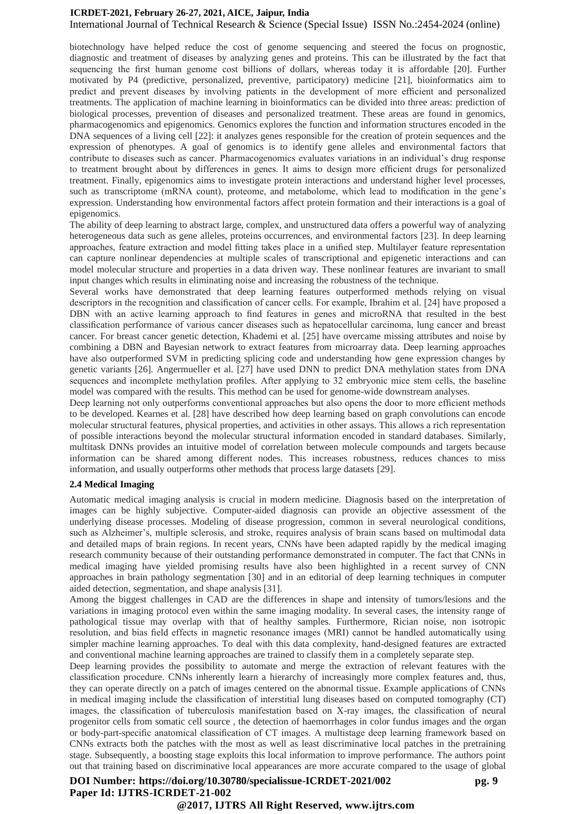International Journal of Technical Research & Science (Special Issue) ISSN No.:2454-2024 (online)

biotechnology have helped reduce the cost of genome sequencing and steered the focus on prognostic, diagnostic and treatment of diseases by analyzing genes and proteins. This can be illustrated by the fact that sequencing the first human genome cost billions of dollars, whereas today it is affordable [20]. Further motivated by P4 (predictive, personalized, preventive, participatory) medicine [21], bioinformatics aim to predict and prevent diseases by involving patients in the development of more efficient and personalized treatments. The application of machine learning in bioinformatics can be divided into three areas: prediction of biological processes, prevention of diseases and personalized treatment. These areas are found in genomics, pharmacogenomics and epigenomics. Genomics explores the function and information structures encoded in the DNA sequences of a living cell [22]: it analyzes genes responsible for the creation of protein sequences and the expression of phenotypes. A goal of genomics is to identify gene alleles and environmental factors that contribute to diseases such as cancer. Pharmacogenomics evaluates variations in an individual's drug response to treatment brought about by differences in genes. It aims to design more efficient drugs for personalized treatment. Finally, epigenomics aims to investigate protein interactions and understand higher level processes, such as transcriptome (mRNA count), proteome, and metabolome, which lead to modification in the gene's expression. Understanding how environmental factors affect protein formation and their interactions is a goal of epigenomics.

The ability of deep learning to abstract large, complex, and unstructured data offers a powerful way of analyzing heterogeneous data such as gene alleles, proteins occurrences, and environmental factors [23]. In deep learning approaches, feature extraction and model fitting takes place in a unified step. Multilayer feature representation can capture nonlinear dependencies at multiple scales of transcriptional and epigenetic interactions and can model molecular structure and properties in a data driven way. These nonlinear features are invariant to small input changes which results in eliminating noise and increasing the robustness of the technique.

Several works have demonstrated that deep learning features outperformed methods relying on visual descriptors in the recognition and classification of cancer cells. For example, Ibrahim et al. [24] have proposed a DBN with an active learning approach to find features in genes and microRNA that resulted in the best classification performance of various cancer diseases such as hepatocellular carcinoma, lung cancer and breast cancer. For breast cancer genetic detection, Khademi et al. [25] have overcame missing attributes and noise by combining a DBN and Bayesian network to extract features from microarray data. Deep learning approaches have also outperformed SVM in predicting splicing code and understanding how gene expression changes by genetic variants [26]. Angermueller et al. [27] have used DNN to predict DNA methylation states from DNA sequences and incomplete methylation profiles. After applying to 32 embryonic mice stem cells, the baseline model was compared with the results. This method can be used for genome-wide downstream analyses.

Deep learning not only outperforms conventional approaches but also opens the door to more efficient methods to be developed. Kearnes et al. [28] have described how deep learning based on graph convolutions can encode molecular structural features, physical properties, and activities in other assays. This allows a rich representation of possible interactions beyond the molecular structural information encoded in standard databases. Similarly, multitask DNNs provides an intuitive model of correlation between molecule compounds and targets because information can be shared among different nodes. This increases robustness, reduces chances to miss information, and usually outperforms other methods that process large datasets [29].

#### **2.4 Medical Imaging**

Automatic medical imaging analysis is crucial in modern medicine. Diagnosis based on the interpretation of images can be highly subjective. Computer-aided diagnosis can provide an objective assessment of the underlying disease processes. Modeling of disease progression, common in several neurological conditions, such as Alzheimer's, multiple sclerosis, and stroke, requires analysis of brain scans based on multimodal data and detailed maps of brain regions. In recent years, CNNs have been adapted rapidly by the medical imaging research community because of their outstanding performance demonstrated in computer. The fact that CNNs in medical imaging have yielded promising results have also been highlighted in a recent survey of CNN approaches in brain pathology segmentation [30] and in an editorial of deep learning techniques in computer aided detection, segmentation, and shape analysis [31].

Among the biggest challenges in CAD are the differences in shape and intensity of tumors/lesions and the variations in imaging protocol even within the same imaging modality. In several cases, the intensity range of pathological tissue may overlap with that of healthy samples. Furthermore, Rician noise, non isotropic resolution, and bias field effects in magnetic resonance images (MRI) cannot be handled automatically using simpler machine learning approaches. To deal with this data complexity, hand-designed features are extracted and conventional machine learning approaches are trained to classify them in a completely separate step.

Deep learning provides the possibility to automate and merge the extraction of relevant features with the classification procedure. CNNs inherently learn a hierarchy of increasingly more complex features and, thus, they can operate directly on a patch of images centered on the abnormal tissue. Example applications of CNNs in medical imaging include the classification of interstitial lung diseases based on computed tomography (CT) images, the classification of tuberculosis manifestation based on X-ray images, the classification of neural progenitor cells from somatic cell source , the detection of haemorrhages in color fundus images and the organ or body-part-specific anatomical classification of CT images. A multistage deep learning framework based on CNNs extracts both the patches with the most as well as least discriminative local patches in the pretraining stage. Subsequently, a boosting stage exploits this local information to improve performance. The authors point out that training based on discriminative local appearances are more accurate compared to the usage of global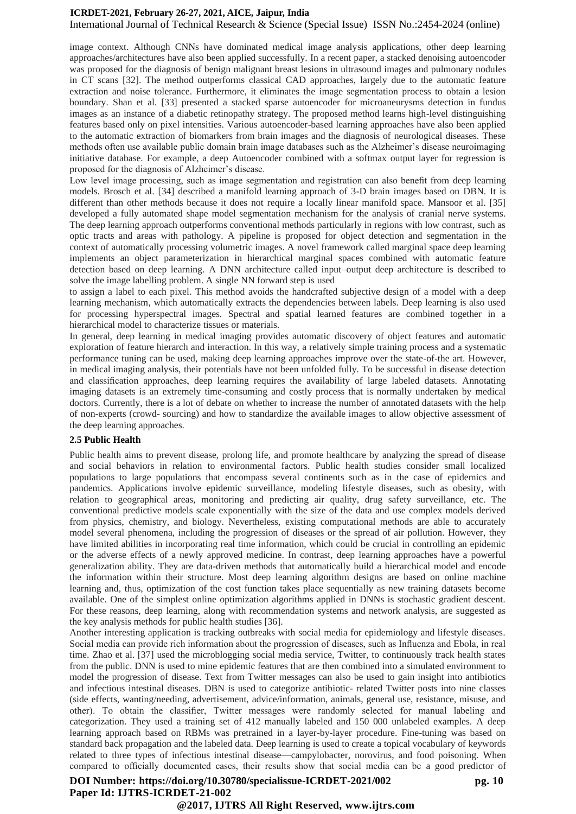International Journal of Technical Research & Science (Special Issue) ISSN No.:2454-2024 (online)

image context. Although CNNs have dominated medical image analysis applications, other deep learning approaches/architectures have also been applied successfully. In a recent paper, a stacked denoising autoencoder was proposed for the diagnosis of benign malignant breast lesions in ultrasound images and pulmonary nodules in CT scans [32]. The method outperforms classical CAD approaches, largely due to the automatic feature extraction and noise tolerance. Furthermore, it eliminates the image segmentation process to obtain a lesion boundary. Shan et al. [33] presented a stacked sparse autoencoder for microaneurysms detection in fundus images as an instance of a diabetic retinopathy strategy. The proposed method learns high-level distinguishing features based only on pixel intensities. Various autoencoder-based learning approaches have also been applied to the automatic extraction of biomarkers from brain images and the diagnosis of neurological diseases. These methods often use available public domain brain image databases such as the Alzheimer's disease neuroimaging initiative database. For example, a deep Autoencoder combined with a softmax output layer for regression is proposed for the diagnosis of Alzheimer's disease.

Low level image processing, such as image segmentation and registration can also benefit from deep learning models. Brosch et al. [34] described a manifold learning approach of 3-D brain images based on DBN. It is different than other methods because it does not require a locally linear manifold space. Mansoor et al. [35] developed a fully automated shape model segmentation mechanism for the analysis of cranial nerve systems. The deep learning approach outperforms conventional methods particularly in regions with low contrast, such as optic tracts and areas with pathology. A pipeline is proposed for object detection and segmentation in the context of automatically processing volumetric images. A novel framework called marginal space deep learning implements an object parameterization in hierarchical marginal spaces combined with automatic feature detection based on deep learning. A DNN architecture called input–output deep architecture is described to solve the image labelling problem. A single NN forward step is used

to assign a label to each pixel. This method avoids the handcrafted subjective design of a model with a deep learning mechanism, which automatically extracts the dependencies between labels. Deep learning is also used for processing hyperspectral images. Spectral and spatial learned features are combined together in a hierarchical model to characterize tissues or materials.

In general, deep learning in medical imaging provides automatic discovery of object features and automatic exploration of feature hierarch and interaction. In this way, a relatively simple training process and a systematic performance tuning can be used, making deep learning approaches improve over the state-of-the art. However, in medical imaging analysis, their potentials have not been unfolded fully. To be successful in disease detection and classification approaches, deep learning requires the availability of large labeled datasets. Annotating imaging datasets is an extremely time-consuming and costly process that is normally undertaken by medical doctors. Currently, there is a lot of debate on whether to increase the number of annotated datasets with the help of non-experts (crowd- sourcing) and how to standardize the available images to allow objective assessment of the deep learning approaches.

#### **2.5 Public Health**

Public health aims to prevent disease, prolong life, and promote healthcare by analyzing the spread of disease and social behaviors in relation to environmental factors. Public health studies consider small localized populations to large populations that encompass several continents such as in the case of epidemics and pandemics. Applications involve epidemic surveillance, modeling lifestyle diseases, such as obesity, with relation to geographical areas, monitoring and predicting air quality, drug safety surveillance, etc. The conventional predictive models scale exponentially with the size of the data and use complex models derived from physics, chemistry, and biology. Nevertheless, existing computational methods are able to accurately model several phenomena, including the progression of diseases or the spread of air pollution. However, they have limited abilities in incorporating real time information, which could be crucial in controlling an epidemic or the adverse effects of a newly approved medicine. In contrast, deep learning approaches have a powerful generalization ability. They are data-driven methods that automatically build a hierarchical model and encode the information within their structure. Most deep learning algorithm designs are based on online machine learning and, thus, optimization of the cost function takes place sequentially as new training datasets become available. One of the simplest online optimization algorithms applied in DNNs is stochastic gradient descent. For these reasons, deep learning, along with recommendation systems and network analysis, are suggested as the key analysis methods for public health studies [36].

Another interesting application is tracking outbreaks with social media for epidemiology and lifestyle diseases. Social media can provide rich information about the progression of diseases, such as Influenza and Ebola, in real time. Zhao et al. [37] used the microblogging social media service, Twitter, to continuously track health states from the public. DNN is used to mine epidemic features that are then combined into a simulated environment to model the progression of disease. Text from Twitter messages can also be used to gain insight into antibiotics and infectious intestinal diseases. DBN is used to categorize antibiotic- related Twitter posts into nine classes (side effects, wanting/needing, advertisement, advice/information, animals, general use, resistance, misuse, and other). To obtain the classifier, Twitter messages were randomly selected for manual labeling and categorization. They used a training set of 412 manually labeled and 150 000 unlabeled examples. A deep learning approach based on RBMs was pretrained in a layer-by-layer procedure. Fine-tuning was based on standard back propagation and the labeled data. Deep learning is used to create a topical vocabulary of keywords related to three types of infectious intestinal disease—campylobacter, norovirus, and food poisoning. When compared to officially documented cases, their results show that social media can be a good predictor of

#### **DOI Number: https://doi.org/10.30780/specialissue-ICRDET-2021/002 pg. 10** pg. 10 **Paper Id: IJTRS-ICRDET-21-002**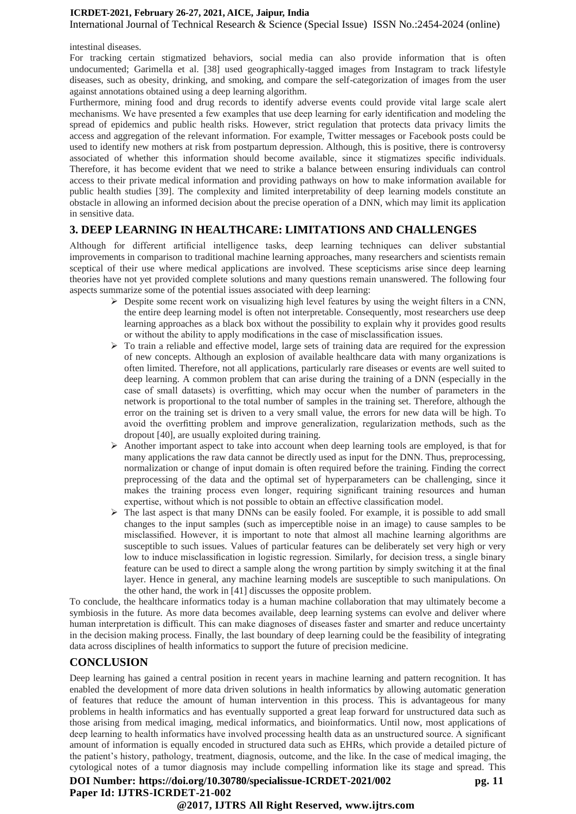International Journal of Technical Research & Science (Special Issue) ISSN No.:2454-2024 (online)

#### intestinal diseases.

For tracking certain stigmatized behaviors, social media can also provide information that is often undocumented; Garimella et al. [38] used geographically-tagged images from Instagram to track lifestyle diseases, such as obesity, drinking, and smoking, and compare the self-categorization of images from the user against annotations obtained using a deep learning algorithm.

Furthermore, mining food and drug records to identify adverse events could provide vital large scale alert mechanisms. We have presented a few examples that use deep learning for early identification and modeling the spread of epidemics and public health risks. However, strict regulation that protects data privacy limits the access and aggregation of the relevant information. For example, Twitter messages or Facebook posts could be used to identify new mothers at risk from postpartum depression. Although, this is positive, there is controversy associated of whether this information should become available, since it stigmatizes specific individuals. Therefore, it has become evident that we need to strike a balance between ensuring individuals can control access to their private medical information and providing pathways on how to make information available for public health studies [39]. The complexity and limited interpretability of deep learning models constitute an obstacle in allowing an informed decision about the precise operation of a DNN, which may limit its application in sensitive data.

### **3. DEEP LEARNING IN HEALTHCARE: LIMITATIONS AND CHALLENGES**

Although for different artificial intelligence tasks, deep learning techniques can deliver substantial improvements in comparison to traditional machine learning approaches, many researchers and scientists remain sceptical of their use where medical applications are involved. These scepticisms arise since deep learning theories have not yet provided complete solutions and many questions remain unanswered. The following four aspects summarize some of the potential issues associated with deep learning:

- $\triangleright$  Despite some recent work on visualizing high level features by using the weight filters in a CNN, the entire deep learning model is often not interpretable. Consequently, most researchers use deep learning approaches as a black box without the possibility to explain why it provides good results or without the ability to apply modifications in the case of misclassification issues.
- $\triangleright$  To train a reliable and effective model, large sets of training data are required for the expression of new concepts. Although an explosion of available healthcare data with many organizations is often limited. Therefore, not all applications, particularly rare diseases or events are well suited to deep learning. A common problem that can arise during the training of a DNN (especially in the case of small datasets) is overfitting, which may occur when the number of parameters in the network is proportional to the total number of samples in the training set. Therefore, although the error on the training set is driven to a very small value, the errors for new data will be high. To avoid the overfitting problem and improve generalization, regularization methods, such as the dropout [40], are usually exploited during training.
- ➢ Another important aspect to take into account when deep learning tools are employed, is that for many applications the raw data cannot be directly used as input for the DNN. Thus, preprocessing, normalization or change of input domain is often required before the training. Finding the correct preprocessing of the data and the optimal set of hyperparameters can be challenging, since it makes the training process even longer, requiring significant training resources and human expertise, without which is not possible to obtain an effective classification model.
- $\triangleright$  The last aspect is that many DNNs can be easily fooled. For example, it is possible to add small changes to the input samples (such as imperceptible noise in an image) to cause samples to be misclassified. However, it is important to note that almost all machine learning algorithms are susceptible to such issues. Values of particular features can be deliberately set very high or very low to induce misclassification in logistic regression. Similarly, for decision tress, a single binary feature can be used to direct a sample along the wrong partition by simply switching it at the final layer. Hence in general, any machine learning models are susceptible to such manipulations. On the other hand, the work in [41] discusses the opposite problem.

To conclude, the healthcare informatics today is a human machine collaboration that may ultimately become a symbiosis in the future. As more data becomes available, deep learning systems can evolve and deliver where human interpretation is difficult. This can make diagnoses of diseases faster and smarter and reduce uncertainty in the decision making process. Finally, the last boundary of deep learning could be the feasibility of integrating data across disciplines of health informatics to support the future of precision medicine.

### **CONCLUSION**

Deep learning has gained a central position in recent years in machine learning and pattern recognition. It has enabled the development of more data driven solutions in health informatics by allowing automatic generation of features that reduce the amount of human intervention in this process. This is advantageous for many problems in health informatics and has eventually supported a great leap forward for unstructured data such as those arising from medical imaging, medical informatics, and bioinformatics. Until now, most applications of deep learning to health informatics have involved processing health data as an unstructured source. A significant amount of information is equally encoded in structured data such as EHRs, which provide a detailed picture of the patient's history, pathology, treatment, diagnosis, outcome, and the like. In the case of medical imaging, the cytological notes of a tumor diagnosis may include compelling information like its stage and spread. This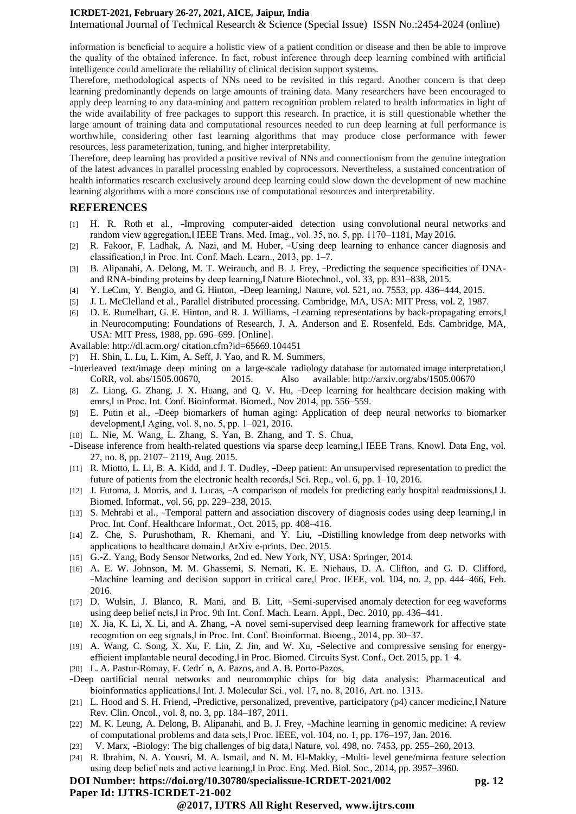International Journal of Technical Research & Science (Special Issue) ISSN No.:2454-2024 (online)

information is beneficial to acquire a holistic view of a patient condition or disease and then be able to improve the quality of the obtained inference. In fact, robust inference through deep learning combined with artificial intelligence could ameliorate the reliability of clinical decision support systems.

Therefore, methodological aspects of NNs need to be revisited in this regard. Another concern is that deep learning predominantly depends on large amounts of training data. Many researchers have been encouraged to apply deep learning to any data-mining and pattern recognition problem related to health informatics in light of the wide availability of free packages to support this research. In practice, it is still questionable whether the large amount of training data and computational resources needed to run deep learning at full performance is worthwhile, considering other fast learning algorithms that may produce close performance with fewer resources, less parameterization, tuning, and higher interpretability.

Therefore, deep learning has provided a positive revival of NNs and connectionism from the genuine integration of the latest advances in parallel processing enabled by coprocessors. Nevertheless, a sustained concentration of health informatics research exclusively around deep learning could slow down the development of new machine learning algorithms with a more conscious use of computational resources and interpretability.

#### **REFERENCES**

- [1] H. R. Roth et al., ―Improving computer-aided detection using convolutional neural networks and random view aggregation,‖ IEEE Trans. Med. Imag., vol. 35, no. 5, pp. 1170–1181, May 2016.
- [2] R. Fakoor, F. Ladhak, A. Nazi, and M. Huber, -Using deep learning to enhance cancer diagnosis and classification,‖ in Proc. Int. Conf. Mach. Learn., 2013, pp. 1–7.
- [3] B. Alipanahi, A. Delong, M. T. Weirauch, and B. J. Frey, -Predicting the sequence specificities of DNAand RNA-binding proteins by deep learning,‖ Nature Biotechnol., vol. 33, pp. 831–838, 2015.
- [4] Y. LeCun, Y. Bengio, and G. Hinton, -Deep learning, Nature, vol. 521, no. 7553, pp. 436–444, 2015.
- [5] J. L. McClelland et al., Parallel distributed processing. Cambridge, MA, USA: MIT Press, vol. 2, 1987.
- [6] D. E. Rumelhart, G. E. Hinton, and R. J. Williams, -Learning representations by back-propagating errors, in Neurocomputing: Foundations of Research, J. A. Anderson and E. Rosenfeld, Eds. Cambridge, MA, USA: MIT Press, 1988, pp. 696–699. [Online].

Available:<http://dl.acm.org/> citation.cfm?id=65669.104451

- [7] H. Shin, L. Lu, L. Kim, A. Seff, J. Yao, and R. M. Summers,
- ―Interleaved text/image deep mining on a large-scale radiology database for automated image interpretation,‖ CoRR, vol. abs/1505.00670, 2015. Also available: <http://arxiv.org/abs/1505.00670>
- [8] Z. Liang, G. Zhang, J. X. Huang, and Q. V. Hu, -Deep learning for healthcare decision making with emrs,‖ in Proc. Int. Conf. Bioinformat. Biomed., Nov 2014, pp. 556–559.
- [9] E. Putin et al., ―Deep biomarkers of human aging: Application of deep neural networks to biomarker development,‖ Aging, vol. 8, no. 5, pp. 1–021, 2016.
- [10] L. Nie, M. Wang, L. Zhang, S. Yan, B. Zhang, and T. S. Chua,
- ―Disease inference from health-related questions via sparse deep learning,‖ IEEE Trans. Knowl. Data Eng, vol. 27, no. 8, pp. 2107– 2119, Aug. 2015.
- [11] R. Miotto, L. Li, B. A. Kidd, and J. T. Dudley, -Deep patient: An unsupervised representation to predict the future of patients from the electronic health records, Sci. Rep., vol. 6, pp. 1-10, 2016.
- [12] J. Futoma, J. Morris, and J. Lucas,  $-A$  comparison of models for predicting early hospital readmissions, J. Biomed. Informat., vol. 56, pp. 229–238, 2015.
- [13] S. Mehrabi et al., -Temporal pattern and association discovery of diagnosis codes using deep learning, l in Proc. Int. Conf. Healthcare Informat., Oct. 2015, pp. 408–416.
- [14] Z. Che, S. Purushotham, R. Khemani, and Y. Liu, -Distilling knowledge from deep networks with applications to healthcare domain,‖ ArXiv e-prints, Dec. 2015.
- [15] G.-Z. Yang, Body Sensor Networks, 2nd ed. New York, NY, USA: Springer, 2014.
- [16] A. E. W. Johnson, M. M. Ghassemi, S. Nemati, K. E. Niehaus, D. A. Clifton, and G. D. Clifford, ―Machine learning and decision support in critical care,‖ Proc. IEEE, vol. 104, no. 2, pp. 444–466, Feb. 2016.
- [17] D. Wulsin, J. Blanco, R. Mani, and B. Litt, -Semi-supervised anomaly detection for eeg waveforms using deep belief nets,‖ inProc. 9th Int. Conf. Mach. Learn. Appl., Dec. 2010, pp. 436–441.
- [18] X. Jia, K. Li, X. Li, and A. Zhang, -A novel semi-supervised deep learning framework for affective state recognition on eeg signals,‖ in Proc. Int. Conf. Bioinformat. Bioeng., 2014, pp. 30–37.
- [19] A. Wang, C. Song, X. Xu, F. Lin, Z. Jin, and W. Xu, -Selective and compressive sensing for energyefficient implantable neural decoding,‖ in Proc. Biomed. CircuitsSyst. Conf., Oct. 2015, pp. 1–4.
- [20] L. A. Pastur-Romay, F. Cedr´n, A. Pazos, and A. B. Porto-Pazos,
- ―Deep oartificial neural networks and neuromorphic chips for big data analysis: Pharmaceutical and bioinformatics applications, IInt. J. Molecular Sci., vol. 17, no. 8, 2016, Art. no. 1313.
- [21] L. Hood and S. H. Friend, -Predictive, personalized, preventive, participatory (p4) cancer medicine, Nature Rev. Clin. Oncol., vol. 8, no. 3, pp. 184–187, 2011.
- [22] M. K. Leung, A. Delong, B. Alipanahi, and B. J. Frey, -Machine learning in genomic medicine: A review of computational problems and data sets,‖ Proc. IEEE, vol. 104, no. 1, pp. 176–197, Jan. 2016.
- [23] V. Marx, -Biology: The big challenges of big data, Nature, vol. 498, no. 7453, pp. 255–260, 2013.
- [24] R. Ibrahim, N. A. Yousri, M. A. Ismail, and N. M. El-Makky, ―Multi- level gene/mirna feature selection using deep belief nets and active learning, l in Proc. Eng. Med. Biol. Soc., 2014, pp. 3957–3960.

#### **DOI Number: https://doi.org/10.30780/specialissue-ICRDET-2021/002 pg. 12 Paper Id: IJTRS-ICRDET-21-002**